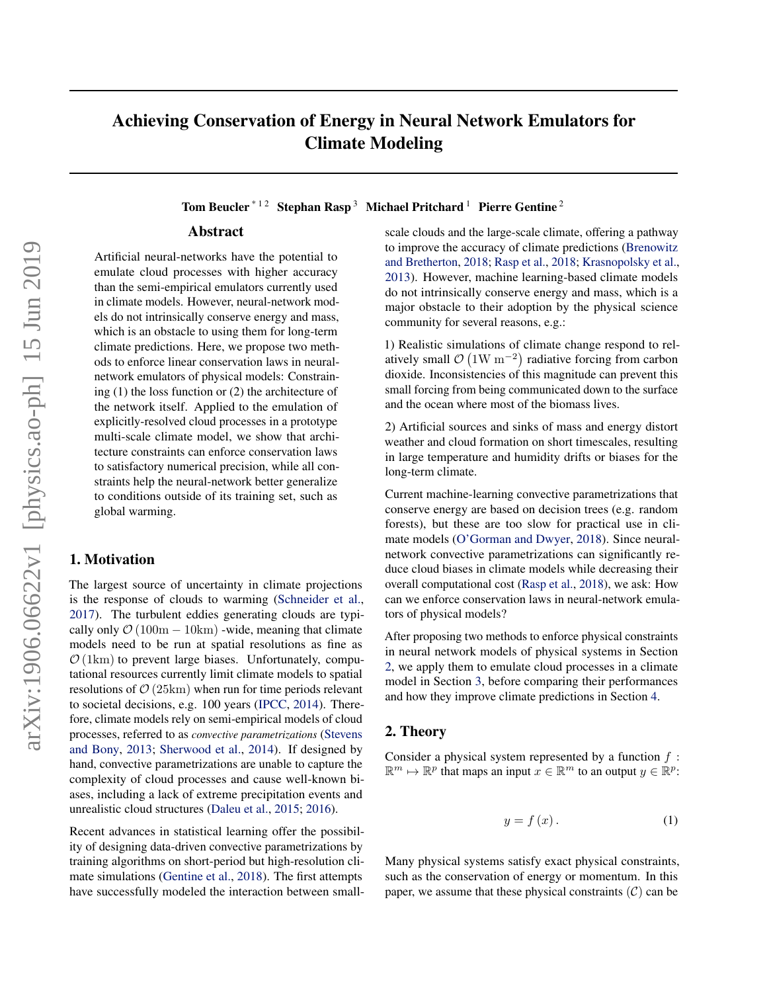# <span id="page-0-0"></span>Achieving Conservation of Energy in Neural Network Emulators for Climate Modeling

Tom Beucler<sup>\*12</sup> Stephan Rasp<sup>3</sup> Michael Pritchard<sup>1</sup> Pierre Gentine<sup>2</sup>

### Abstract

Artificial neural-networks have the potential to emulate cloud processes with higher accuracy than the semi-empirical emulators currently used in climate models. However, neural-network models do not intrinsically conserve energy and mass, which is an obstacle to using them for long-term climate predictions. Here, we propose two methods to enforce linear conservation laws in neuralnetwork emulators of physical models: Constraining (1) the loss function or (2) the architecture of the network itself. Applied to the emulation of explicitly-resolved cloud processes in a prototype multi-scale climate model, we show that architecture constraints can enforce conservation laws to satisfactory numerical precision, while all constraints help the neural-network better generalize to conditions outside of its training set, such as global warming.

## 1. Motivation

The largest source of uncertainty in climate projections is the response of clouds to warming [\(Schneider et al.,](#page-3-0) [2017\)](#page-3-0). The turbulent eddies generating clouds are typically only  $\mathcal{O}(100m - 10km)$  -wide, meaning that climate models need to be run at spatial resolutions as fine as  $\mathcal{O}(1 \text{ km})$  to prevent large biases. Unfortunately, computational resources currently limit climate models to spatial resolutions of  $\mathcal{O}(25 \text{km})$  when run for time periods relevant to societal decisions, e.g. 100 years [\(IPCC,](#page-3-0) [2014\)](#page-3-0). Therefore, climate models rely on semi-empirical models of cloud processes, referred to as *convective parametrizations* [\(Stevens](#page-4-0) [and Bony,](#page-4-0) [2013;](#page-4-0) [Sherwood et al.,](#page-3-0) [2014\)](#page-3-0). If designed by hand, convective parametrizations are unable to capture the complexity of cloud processes and cause well-known biases, including a lack of extreme precipitation events and unrealistic cloud structures [\(Daleu et al.,](#page-3-0) [2015;](#page-3-0) [2016\)](#page-3-0).

Recent advances in statistical learning offer the possibility of designing data-driven convective parametrizations by training algorithms on short-period but high-resolution climate simulations [\(Gentine et al.,](#page-3-0) [2018\)](#page-3-0). The first attempts have successfully modeled the interaction between smallscale clouds and the large-scale climate, offering a pathway to improve the accuracy of climate predictions [\(Brenowitz](#page-3-0) [and Bretherton,](#page-3-0) [2018;](#page-3-0) [Rasp et al.,](#page-3-0) [2018;](#page-3-0) [Krasnopolsky et al.,](#page-3-0) [2013\)](#page-3-0). However, machine learning-based climate models do not intrinsically conserve energy and mass, which is a major obstacle to their adoption by the physical science community for several reasons, e.g.:

1) Realistic simulations of climate change respond to relatively small  $\mathcal{O}(1W \text{ m}^{-2})$  radiative forcing from carbon dioxide. Inconsistencies of this magnitude can prevent this small forcing from being communicated down to the surface and the ocean where most of the biomass lives.

2) Artificial sources and sinks of mass and energy distort weather and cloud formation on short timescales, resulting in large temperature and humidity drifts or biases for the long-term climate.

Current machine-learning convective parametrizations that conserve energy are based on decision trees (e.g. random forests), but these are too slow for practical use in climate models [\(O'Gorman and Dwyer,](#page-3-0) [2018\)](#page-3-0). Since neuralnetwork convective parametrizations can significantly reduce cloud biases in climate models while decreasing their overall computational cost [\(Rasp et al.,](#page-3-0) [2018\)](#page-3-0), we ask: How can we enforce conservation laws in neural-network emulators of physical models?

After proposing two methods to enforce physical constraints in neural network models of physical systems in Section 2, we apply them to emulate cloud processes in a climate model in Section [3,](#page-1-0) before comparing their performances and how they improve climate predictions in Section [4.](#page-2-0)

#### 2. Theory

Consider a physical system represented by a function  $f$ :  $\mathbb{R}^m \mapsto \mathbb{R}^p$  that maps an input  $x \in \mathbb{R}^m$  to an output  $y \in \mathbb{R}^p$ :

$$
y = f(x). \tag{1}
$$

Many physical systems satisfy exact physical constraints, such as the conservation of energy or momentum. In this paper, we assume that these physical constraints  $(C)$  can be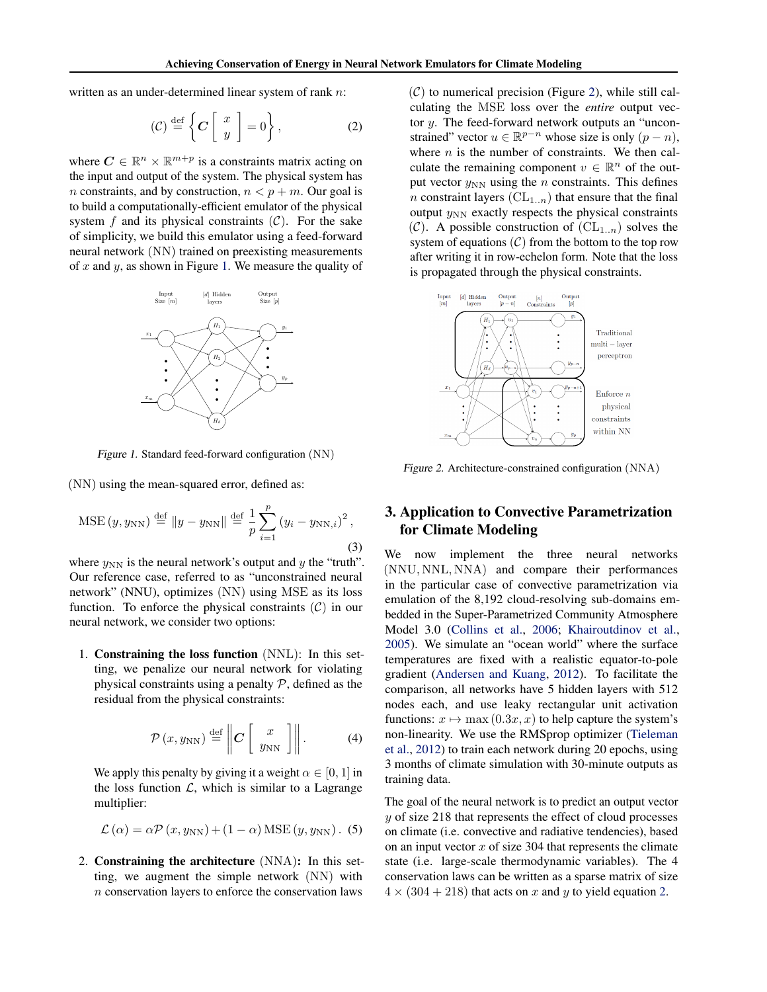<span id="page-1-0"></span>written as an under-determined linear system of rank n:

$$
(\mathcal{C}) \stackrel{\text{def}}{=} \left\{ \mathcal{C} \left[ \begin{array}{c} x \\ y \end{array} \right] = 0 \right\},\tag{2}
$$

where  $C \in \mathbb{R}^n \times \mathbb{R}^{m+p}$  is a constraints matrix acting on the input and output of the system. The physical system has n constraints, and by construction,  $n < p + m$ . Our goal is to build a computationally-efficient emulator of the physical system f and its physical constraints  $(C)$ . For the sake of simplicity, we build this emulator using a feed-forward neural network (NN) trained on preexisting measurements of x and y, as shown in Figure 1. We measure the quality of



Figure 1. Standard feed-forward configuration (NN)

(NN) using the mean-squared error, defined as:

MSE 
$$
(y, y_{NN})
$$
  $\stackrel{\text{def}}{=} \|y - y_{NN}\| \stackrel{\text{def}}{=} \frac{1}{p} \sum_{i=1}^{p} (y_i - y_{NN,i})^2$ , (3)

where  $y_{NN}$  is the neural network's output and y the "truth". Our reference case, referred to as "unconstrained neural network" (NNU), optimizes (NN) using MSE as its loss function. To enforce the physical constraints  $(C)$  in our neural network, we consider two options:

1. Constraining the loss function (NNL): In this setting, we penalize our neural network for violating physical constraints using a penalty  $P$ , defined as the residual from the physical constraints:

$$
\mathcal{P}\left(x, y_{\rm NN}\right) \stackrel{\text{def}}{=} \left\| \mathbf{C} \left[ \begin{array}{c} x \\ y_{\rm NN} \end{array} \right] \right\|. \tag{4}
$$

We apply this penalty by giving it a weight  $\alpha \in [0, 1]$  in the loss function  $\mathcal{L}$ , which is similar to a Lagrange multiplier:

$$
\mathcal{L}(\alpha) = \alpha \mathcal{P}(x, y_{NN}) + (1 - \alpha) \text{MSE}(y, y_{NN}).
$$
 (5)

2. Constraining the architecture (NNA): In this setting, we augment the simple network (NN) with n conservation layers to enforce the conservation laws

 $(C)$  to numerical precision (Figure 2), while still calculating the MSE loss over the *entire* output vector y. The feed-forward network outputs an "unconstrained" vector  $u \in \mathbb{R}^{p-n}$  whose size is only  $(p - n)$ , where  $n$  is the number of constraints. We then calculate the remaining component  $v \in \mathbb{R}^n$  of the output vector  $y_{NN}$  using the *n* constraints. This defines n constraint layers  $(CL_{1..n})$  that ensure that the final output  $y_{NN}$  exactly respects the physical constraints  $(C)$ . A possible construction of  $(CL_{1..n})$  solves the system of equations  $(C)$  from the bottom to the top row after writing it in row-echelon form. Note that the loss is propagated through the physical constraints.



Figure 2. Architecture-constrained configuration (NNA)

## 3. Application to Convective Parametrization for Climate Modeling

We now implement the three neural networks (NNU, NNL, NNA) and compare their performances in the particular case of convective parametrization via emulation of the 8,192 cloud-resolving sub-domains embedded in the Super-Parametrized Community Atmosphere Model 3.0 [\(Collins et al.,](#page-3-0) [2006;](#page-3-0) [Khairoutdinov et al.,](#page-3-0) [2005\)](#page-3-0). We simulate an "ocean world" where the surface temperatures are fixed with a realistic equator-to-pole gradient [\(Andersen and Kuang,](#page-3-0) [2012\)](#page-3-0). To facilitate the comparison, all networks have 5 hidden layers with 512 nodes each, and use leaky rectangular unit activation functions:  $x \mapsto \max(0.3x, x)$  to help capture the system's non-linearity. We use the RMSprop optimizer [\(Tieleman](#page-4-0) [et al.,](#page-4-0) [2012\)](#page-4-0) to train each network during 20 epochs, using 3 months of climate simulation with 30-minute outputs as training data.

The goal of the neural network is to predict an output vector y of size 218 that represents the effect of cloud processes on climate (i.e. convective and radiative tendencies), based on an input vector  $x$  of size 304 that represents the climate state (i.e. large-scale thermodynamic variables). The 4 conservation laws can be written as a sparse matrix of size  $4 \times (304 + 218)$  that acts on x and y to yield equation [2.](#page-0-0)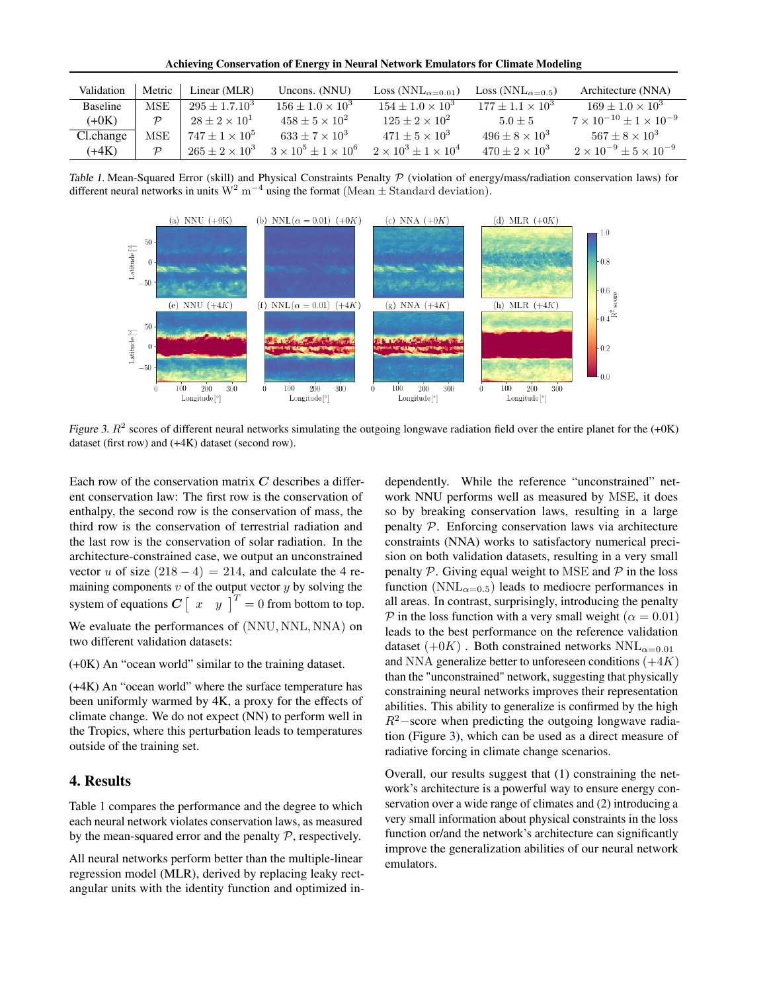Achieving Conservation of Energy in Neural Network Emulators for Climate Modeling

<span id="page-2-0"></span>

| Validation      | Metric        | Linear (MLR)             | Uncons. (NNU)                     | Loss ( $NNL_{\alpha=0.01}$ )      | Loss (NNL <sub><math>\alpha=0.5</math>)</sub> | Architecture (NNA)                      |
|-----------------|---------------|--------------------------|-----------------------------------|-----------------------------------|-----------------------------------------------|-----------------------------------------|
| <b>Baseline</b> | MSE           | $295 + 1.7.10^3$         | $156 + 1.0 \times 10^3$           | $154 + 1.0 \times 10^3$           | $177 + 1.1 \times 10^3$                       | $169 \pm 1.0 \times 10^{3}$             |
| $(+0K)$         | $\mathcal{D}$ | $28 \pm 2 \times 10^{1}$ | $458 + 5 \times 10^{2}$           | $125 + 2 \times 10^{2}$           | $5.0 + 5$                                     | $7 \times 10^{-10} + 1 \times 10^{-9}$  |
| Cl.change       | MSE           | $747 + 1 \times 10^5$    | $633 + 7 \times 10^3$             | $471 + 5 \times 10^3$             | $496 + 8 \times 10^3$                         | $567 + 8 \times 10^3$                   |
| $(+4K)$         |               | $265 \pm 2 \times 10^3$  | $3 \times 10^5 \pm 1 \times 10^6$ | $2 \times 10^3 \pm 1 \times 10^4$ | $470 + 2 \times 10^3$                         | $2 \times 10^{-9} \pm 5 \times 10^{-9}$ |

Table 1. Mean-Squared Error (skill) and Physical Constraints Penalty  $P$  (violation of energy/mass/radiation conservation laws) for different neural networks in units  $W^2$  m<sup>-4</sup> using the format (Mean  $\pm$  Standard deviation).



Figure 3.  $R^2$  scores of different neural networks simulating the outgoing longwave radiation field over the entire planet for the  $(+0K)$ dataset (first row) and (+4K) dataset (second row).

Each row of the conservation matrix  $C$  describes a different conservation law: The first row is the conservation of enthalpy, the second row is the conservation of mass, the third row is the conservation of terrestrial radiation and the last row is the conservation of solar radiation. In the architecture-constrained case, we output an unconstrained vector u of size  $(218 - 4) = 214$ , and calculate the 4 remaining components  $v$  of the output vector  $y$  by solving the system of equations  $C \begin{bmatrix} x & y \end{bmatrix}^T = 0$  from bottom to top. We evaluate the performances of (NNU, NNL, NNA) on two different validation datasets:

(+0K) An "ocean world" similar to the training dataset.

(+4K) An "ocean world" where the surface temperature has been uniformly warmed by 4K, a proxy for the effects of climate change. We do not expect (NN) to perform well in the Tropics, where this perturbation leads to temperatures outside of the training set.

#### 4. Results

Table 1 compares the performance and the degree to which each neural network violates conservation laws, as measured by the mean-squared error and the penalty  $P$ , respectively.

All neural networks perform better than the multiple-linear regression model (MLR), derived by replacing leaky rectangular units with the identity function and optimized independently. While the reference "unconstrained" network NNU performs well as measured by MSE, it does so by breaking conservation laws, resulting in a large penalty P. Enforcing conservation laws via architecture constraints (NNA) works to satisfactory numerical precision on both validation datasets, resulting in a very small penalty  $P$ . Giving equal weight to MSE and  $P$  in the loss function ( $NNL_{\alpha=0.5}$ ) leads to mediocre performances in all areas. In contrast, surprisingly, introducing the penalty P in the loss function with a very small weight ( $\alpha = 0.01$ ) leads to the best performance on the reference validation dataset  $(+0K)$ . Both constrained networks  $NNL_{\alpha=0.01}$ and NNA generalize better to unforeseen conditions  $(+4K)$ than the "unconstrained" network, suggesting that physically constraining neural networks improves their representation abilities. This ability to generalize is confirmed by the high  $R^2$ −score when predicting the outgoing longwave radiation (Figure 3), which can be used as a direct measure of radiative forcing in climate change scenarios.

Overall, our results suggest that (1) constraining the network's architecture is a powerful way to ensure energy conservation over a wide range of climates and (2) introducing a very small information about physical constraints in the loss function or/and the network's architecture can significantly improve the generalization abilities of our neural network emulators.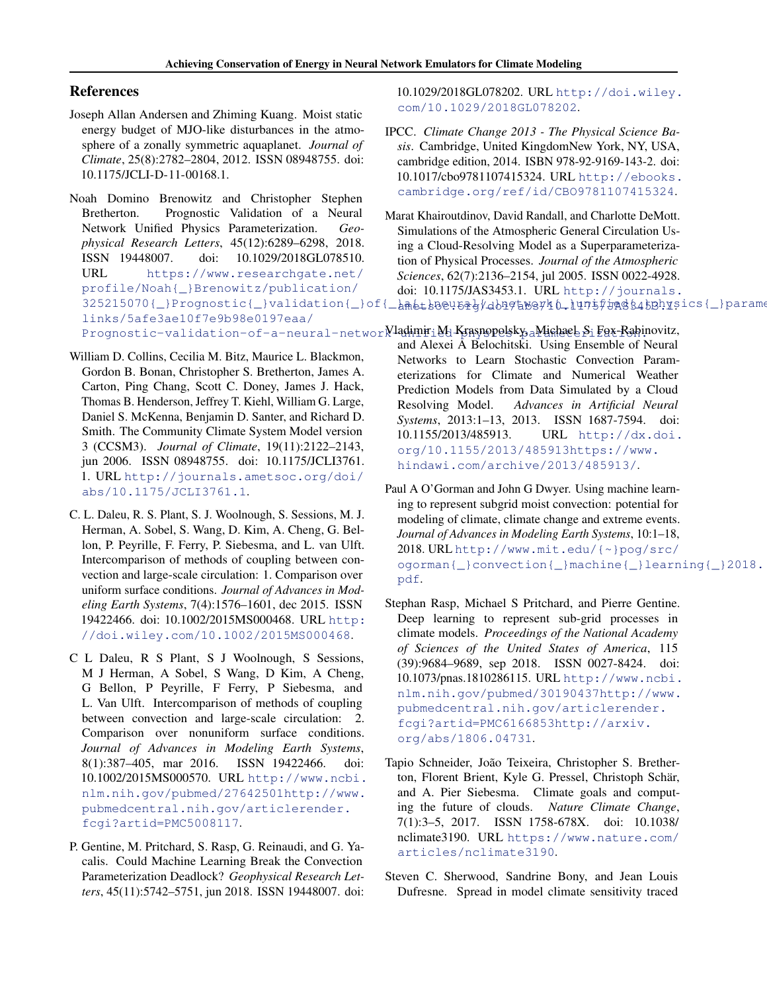#### <span id="page-3-0"></span>References

- Joseph Allan Andersen and Zhiming Kuang. Moist static energy budget of MJO-like disturbances in the atmosphere of a zonally symmetric aquaplanet. *Journal of Climate*, 25(8):2782–2804, 2012. ISSN 08948755. doi: 10.1175/JCLI-D-11-00168.1.
- Noah Domino Brenowitz and Christopher Stephen Bretherton. Prognostic Validation of a Neural Network Unified Physics Parameterization. *Geophysical Research Letters*, 45(12):6289–6298, 2018. ISSN 19448007. doi: 10.1029/2018GL078510. URL [https://www.researchgate.net/](https://www.researchgate.net/profile/Noah{_}Brenowitz/publication/325215070{_}Prognostic{_}validation{_}of{_}a{_}neural{_}network{_}unified{_}physics{_}parameterization/links/5afe3ae10f7e9b98e0197eaa/Prognostic-validation-of-a-neural-network-unified-physics-parameterization.) [profile/Noah{\\_}Brenowitz/publication/](https://www.researchgate.net/profile/Noah{_}Brenowitz/publication/325215070{_}Prognostic{_}validation{_}of{_}a{_}neural{_}network{_}unified{_}physics{_}parameterization/links/5afe3ae10f7e9b98e0197eaa/Prognostic-validation-of-a-neural-network-unified-physics-parameterization.) [links/5afe3ae10f7e9b98e0197eaa/](https://www.researchgate.net/profile/Noah{_}Brenowitz/publication/325215070{_}Prognostic{_}validation{_}of{_}a{_}neural{_}network{_}unified{_}physics{_}parameterization/links/5afe3ae10f7e9b98e0197eaa/Prognostic-validation-of-a-neural-network-unified-physics-parameterization.) Prognostic-validation-of-a-neural-networ $N$ ladimir M Krasnopolsky, Michael S Fox-Rahinovitz,
- William D. Collins, Cecilia M. Bitz, Maurice L. Blackmon, Gordon B. Bonan, Christopher S. Bretherton, James A. Carton, Ping Chang, Scott C. Doney, James J. Hack, Thomas B. Henderson, Jeffrey T. Kiehl, William G. Large, Daniel S. McKenna, Benjamin D. Santer, and Richard D. Smith. The Community Climate System Model version 3 (CCSM3). *Journal of Climate*, 19(11):2122–2143, jun 2006. ISSN 08948755. doi: 10.1175/JCLI3761. 1. URL [http://journals.ametsoc.org/doi/](http://journals.ametsoc.org/doi/abs/10.1175/JCLI3761.1) [abs/10.1175/JCLI3761.1](http://journals.ametsoc.org/doi/abs/10.1175/JCLI3761.1).
- C. L. Daleu, R. S. Plant, S. J. Woolnough, S. Sessions, M. J. Herman, A. Sobel, S. Wang, D. Kim, A. Cheng, G. Bellon, P. Peyrille, F. Ferry, P. Siebesma, and L. van Ulft. Intercomparison of methods of coupling between convection and large-scale circulation: 1. Comparison over uniform surface conditions. *Journal of Advances in Modeling Earth Systems*, 7(4):1576–1601, dec 2015. ISSN 19422466. doi: 10.1002/2015MS000468. URL [http:](http://doi.wiley.com/10.1002/2015MS000468) [//doi.wiley.com/10.1002/2015MS000468](http://doi.wiley.com/10.1002/2015MS000468).
- C L Daleu, R S Plant, S J Woolnough, S Sessions, M J Herman, A Sobel, S Wang, D Kim, A Cheng, G Bellon, P Peyrille, F Ferry, P Siebesma, and L. Van Ulft. Intercomparison of methods of coupling between convection and large-scale circulation: 2. Comparison over nonuniform surface conditions. *Journal of Advances in Modeling Earth Systems*, 8(1):387–405, mar 2016. ISSN 19422466. doi: 10.1002/2015MS000570. URL [http://www.ncbi.](http://www.ncbi.nlm.nih.gov/pubmed/27642501 http://www.pubmedcentral.nih.gov/articlerender.fcgi?artid=PMC5008117) [nlm.nih.gov/pubmed/27642501http://www.](http://www.ncbi.nlm.nih.gov/pubmed/27642501 http://www.pubmedcentral.nih.gov/articlerender.fcgi?artid=PMC5008117) [pubmedcentral.nih.gov/articlerender.](http://www.ncbi.nlm.nih.gov/pubmed/27642501 http://www.pubmedcentral.nih.gov/articlerender.fcgi?artid=PMC5008117) [fcgi?artid=PMC5008117](http://www.ncbi.nlm.nih.gov/pubmed/27642501 http://www.pubmedcentral.nih.gov/articlerender.fcgi?artid=PMC5008117).
- P. Gentine, M. Pritchard, S. Rasp, G. Reinaudi, and G. Yacalis. Could Machine Learning Break the Convection Parameterization Deadlock? *Geophysical Research Letters*, 45(11):5742–5751, jun 2018. ISSN 19448007. doi:

10.1029/2018GL078202. URL [http://doi.wiley.](http://doi.wiley.com/10.1029/2018GL078202) [com/10.1029/2018GL078202](http://doi.wiley.com/10.1029/2018GL078202).

- IPCC. *Climate Change 2013 The Physical Science Basis*. Cambridge, United KingdomNew York, NY, USA, cambridge edition, 2014. ISBN 978-92-9169-143-2. doi: 10.1017/cbo9781107415324. URL [http://ebooks.](http://ebooks.cambridge.org/ref/id/CBO9781107415324) [cambridge.org/ref/id/CBO9781107415324](http://ebooks.cambridge.org/ref/id/CBO9781107415324).
- [325215070{\\_}Prognostic{\\_}validation{\\_}](https://www.researchgate.net/profile/Noah{_}Brenowitz/publication/325215070{_}Prognostic{_}validation{_}of{_}a{_}neural{_}network{_}unified{_}physics{_}parameterization/links/5afe3ae10f7e9b98e0197eaa/Prognostic-validation-of-a-neural-network-unified-physics-parameterization.)of{\_*b*metbev62y/dbigtwsyk0\_lun5fjmggg4bBhysics{\_}parame Marat Khairoutdinov, David Randall, and Charlotte DeMott. Simulations of the Atmospheric General Circulation Using a Cloud-Resolving Model as a Superparameterization of Physical Processes. *Journal of the Atmospheric Sciences*, 62(7):2136–2154, jul 2005. ISSN 0022-4928. doi: 10.1175/JAS3453.1. URL [http://journals.](http://journals.ametsoc.org/doi/abs/10.1175/JAS3453.1)
	- and Alexei A Belochitski. Using Ensemble of Neural Networks to Learn Stochastic Convection Parameterizations for Climate and Numerical Weather Prediction Models from Data Simulated by a Cloud Resolving Model. *Advances in Artificial Neural Systems*, 2013:1–13, 2013. ISSN 1687-7594. doi: 10.1155/2013/485913. URL [http://dx.doi.](http://dx.doi.org/10.1155/2013/485913 https://www.hindawi.com/archive/2013/485913/) [org/10.1155/2013/485913https://www.](http://dx.doi.org/10.1155/2013/485913 https://www.hindawi.com/archive/2013/485913/) [hindawi.com/archive/2013/485913/](http://dx.doi.org/10.1155/2013/485913 https://www.hindawi.com/archive/2013/485913/).
	- Paul A O'Gorman and John G Dwyer. Using machine learning to represent subgrid moist convection: potential for modeling of climate, climate change and extreme events. *Journal of Advances in Modeling Earth Systems*, 10:1–18, 2018. URL [http://www.mit.edu/{~}pog/src/](http://www.mit.edu/{~}pog/src/ogorman{_}convection{_}machine{_}learning{_}2018.pdf) [ogorman{\\_}convection{\\_}machine{\\_}learn](http://www.mit.edu/{~}pog/src/ogorman{_}convection{_}machine{_}learning{_}2018.pdf)ing{\_}2018. [pdf](http://www.mit.edu/{~}pog/src/ogorman{_}convection{_}machine{_}learning{_}2018.pdf).
	- Stephan Rasp, Michael S Pritchard, and Pierre Gentine. Deep learning to represent sub-grid processes in climate models. *Proceedings of the National Academy of Sciences of the United States of America*, 115 (39):9684–9689, sep 2018. ISSN 0027-8424. doi: 10.1073/pnas.1810286115. URL [http://www.ncbi.](http://www.ncbi.nlm.nih.gov/pubmed/30190437 http://www.pubmedcentral.nih.gov/articlerender.fcgi?artid=PMC6166853 http://arxiv.org/abs/1806.04731) [nlm.nih.gov/pubmed/30190437http://www.](http://www.ncbi.nlm.nih.gov/pubmed/30190437 http://www.pubmedcentral.nih.gov/articlerender.fcgi?artid=PMC6166853 http://arxiv.org/abs/1806.04731) [pubmedcentral.nih.gov/articlerender.](http://www.ncbi.nlm.nih.gov/pubmed/30190437 http://www.pubmedcentral.nih.gov/articlerender.fcgi?artid=PMC6166853 http://arxiv.org/abs/1806.04731) [fcgi?artid=PMC6166853http://arxiv.](http://www.ncbi.nlm.nih.gov/pubmed/30190437 http://www.pubmedcentral.nih.gov/articlerender.fcgi?artid=PMC6166853 http://arxiv.org/abs/1806.04731) [org/abs/1806.04731](http://www.ncbi.nlm.nih.gov/pubmed/30190437 http://www.pubmedcentral.nih.gov/articlerender.fcgi?artid=PMC6166853 http://arxiv.org/abs/1806.04731).
	- Tapio Schneider, João Teixeira, Christopher S. Bretherton, Florent Brient, Kyle G. Pressel, Christoph Schär, and A. Pier Siebesma. Climate goals and computing the future of clouds. *Nature Climate Change*, 7(1):3–5, 2017. ISSN 1758-678X. doi: 10.1038/ nclimate3190. URL [https://www.nature.com/](https://www.nature.com/articles/nclimate3190) [articles/nclimate3190](https://www.nature.com/articles/nclimate3190).
	- Steven C. Sherwood, Sandrine Bony, and Jean Louis Dufresne. Spread in model climate sensitivity traced